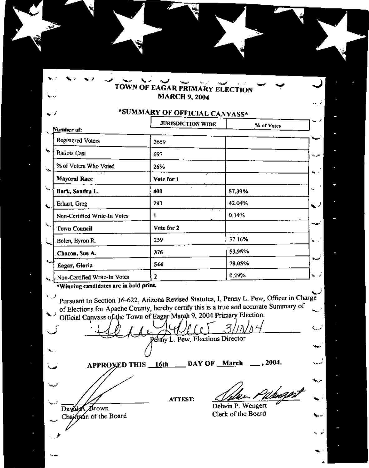## TOWN OF EAGAR PRIMARY ELECTION **MARCH 9, 2004**

ш.

ž

## \*SUMMARY OF OFFICIAL CANVASS\*

|                                            | <b>JURISDICTION WIDE</b> | % of Votes |     |
|--------------------------------------------|--------------------------|------------|-----|
| Number of:                                 |                          |            |     |
| <b>Registered Voters</b>                   | 2659                     |            |     |
| <b>Ballots Cast</b>                        | 697                      |            | w.  |
| % of Voters Who Voted                      | 26%                      |            |     |
| <b>Mayoral Race</b>                        | ÷<br>Vote for 1          |            | ٠   |
| XL.<br>Burk, Sandra L.                     | 400                      | 57.39%     | r.  |
| Erhart, Greg                               | 293                      | 42.04%     | ۰.  |
| Non-Certified Write-In Votes               |                          | 0.14%      |     |
| Town Council                               | Vote for 2               |            |     |
| Bolen, Byron R.                            | 259                      | 37.16%     | Ν., |
| Chacon, Sue A.                             | 376                      | 53.95%     |     |
| $\mathbf{L}_{\mathbf{H}}$<br>Eagar, Gloria | 544                      | 78,05%     |     |
| Mon-Certified Write-In Votes               | 2                        | 0.29%      | ٧.  |

\*Winning candidates are in bold print.

A.

Pursuant to Section 16-622, Arizona Revised Statutes, I, Penny L. Pew, Officer in Charge of Elections for Apache County, hereby certify this is a true and accurate Summary of الريبة Official Canvass of the Town of Eagar March 9, 2004 Primary Election.

أوربه Permy L. Pew, Elections Director  $\blacksquare$  $.2004.$ APPROXED THIS 16th DAY OF March می لبيعة **ATTEST:** Delwin P. Wengert Day of Brown Clerk of the Board Chairman of the Board